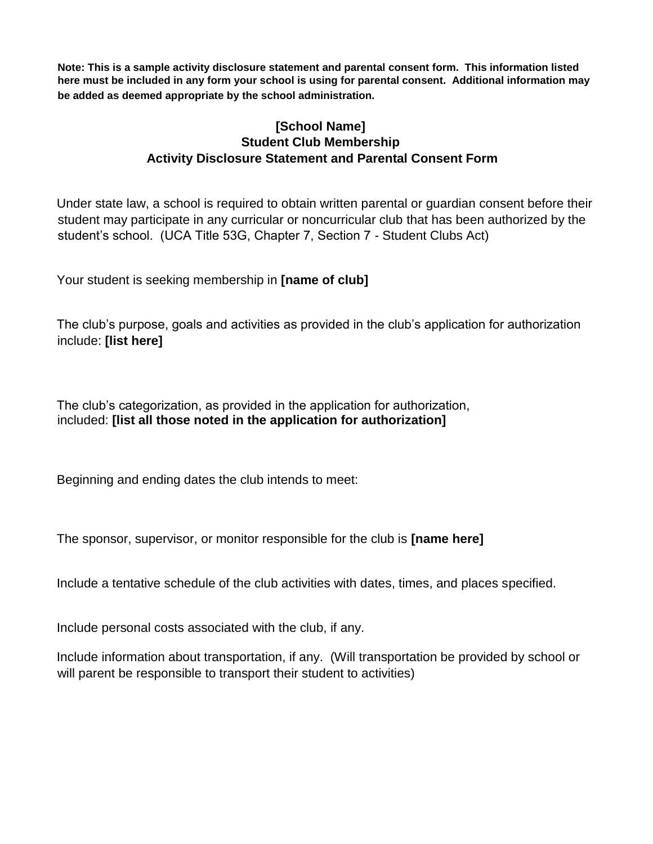**Note: This is a sample activity disclosure statement and parental consent form. This information listed here must be included in any form your school is using for parental consent. Additional information may be added as deemed appropriate by the school administration.**

## **[School Name] Student Club Membership Activity Disclosure Statement and Parental Consent Form**

Under state law, a school is required to obtain written parental or guardian consent before their student may participate in any curricular or noncurricular club that has been authorized by the student's school. (UCA Title 53G, Chapter 7, Section 7 - Student Clubs Act)

Your student is seeking membership in **[name of club]** 

The club's purpose, goals and activities as provided in the club's application for authorization include: **[list here]** 

The club's categorization, as provided in the application for authorization, included: **[list all those noted in the application for authorization]** 

Beginning and ending dates the club intends to meet:

The sponsor, supervisor, or monitor responsible for the club is **[name here]**

Include a tentative schedule of the club activities with dates, times, and places specified.

Include personal costs associated with the club, if any.

Include information about transportation, if any. (Will transportation be provided by school or will parent be responsible to transport their student to activities)